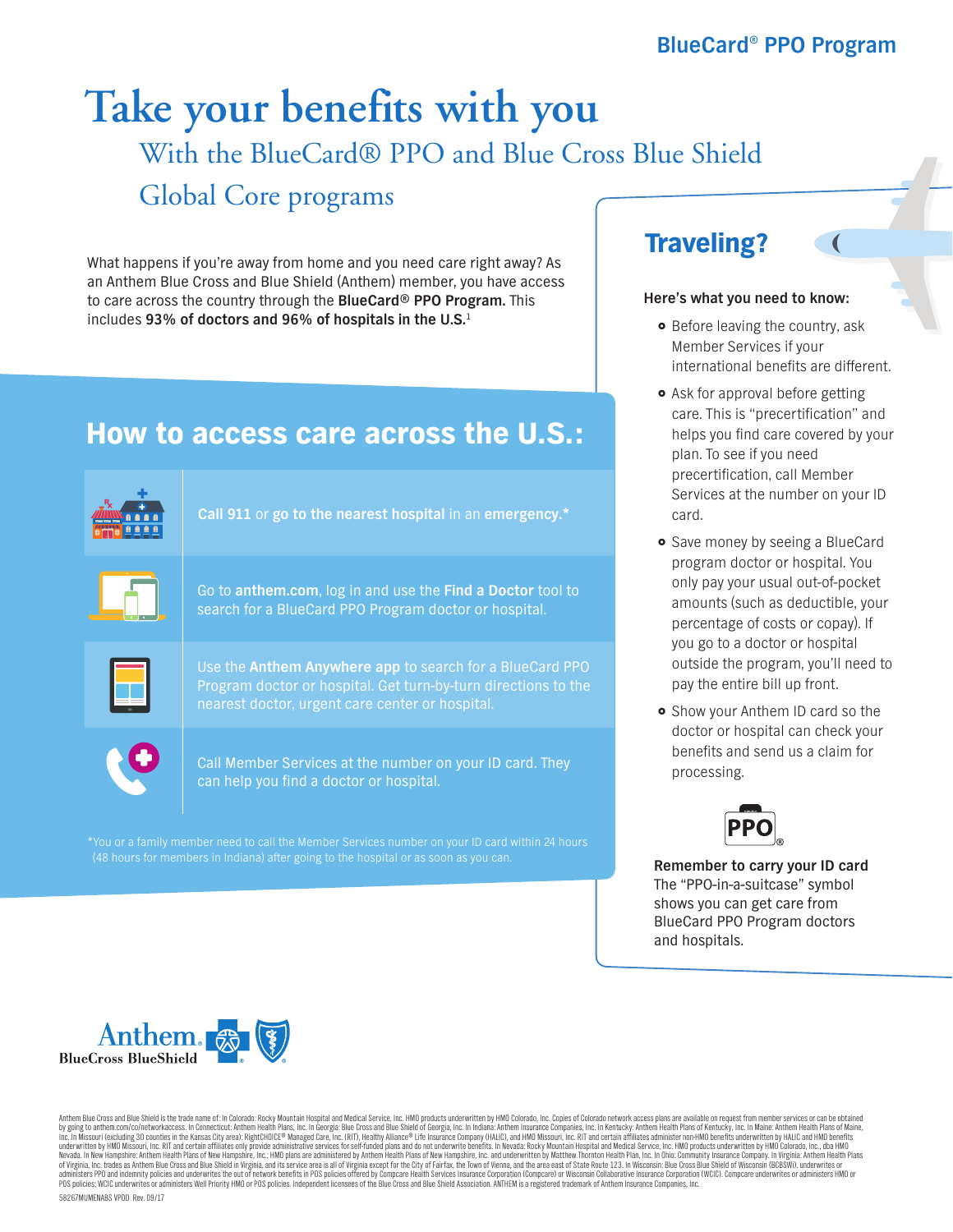# With the BlueCard® PPO and Blue Cross Blue Shield Global Core programs **Take your benefits with you**

What happens if you're away from home and you need care right away? As an Anthem Blue Cross and Blue Shield (Anthem) member, you have access to care across the country through the **BlueCard® PPO Program.** This includes **93% of doctors and 96% of hospitals in the U.S.**<sup>1</sup>

## How to access care across the U.S.:



\*You or a family member need to call the Member Services number on your ID card within 24 hours (48 hours for members in Indiana) after going to the hospital or as soon as you can. **Remember to carry your ID card** 

### Traveling?

### **Here's what you need to know:**

- Before leaving the country, ask Member Services if your international benefits are different.
- Ask for approval before getting care. This is "precertification" and helps you find care covered by your plan. To see if you need precertification, call Member Services at the number on your ID card.
- **•** Save money by seeing a BlueCard program doctor or hospital. You only pay your usual out-of-pocket amounts (such as deductible, your percentage of costs or copay). If you go to a doctor or hospital outside the program, you'll need to pay the entire bill up front.
- **•** Show your Anthem ID card so the doctor or hospital can check your benefits and send us a claim for processing.



The "PPO-in-a-suitcase" symbol shows you can get care from BlueCard PPO Program doctors and hospitals.



Anthem Blue Cross and Blue Shield is the trade name of: In Colorado: Rocky Mountain Hospital and Medical Service, Inc. HMD products underwritten by HMO Colorado, Inc. Copies of Colorado network access plans are available o by going to anthem.com/co/networkaccess. In Connecticut: Anthem Health Plans, Inc. In Georgia: Blue Cross and Blue Shield of Georgia, Inc. In Idiana: Anthem Insurance Companies, Inc. In Kentucky: Anthem Health Plans of Met of Virginia, Inc. trades as Anthem Blue Cross and Blue Shield in Virginia, and its service area is all of Virginia except for the City of Fairfax, the Town of Vienna, and the area east of State Route 123. In Wisconsin: Blu 58267MUMENABS VPOD Rev. 09/17